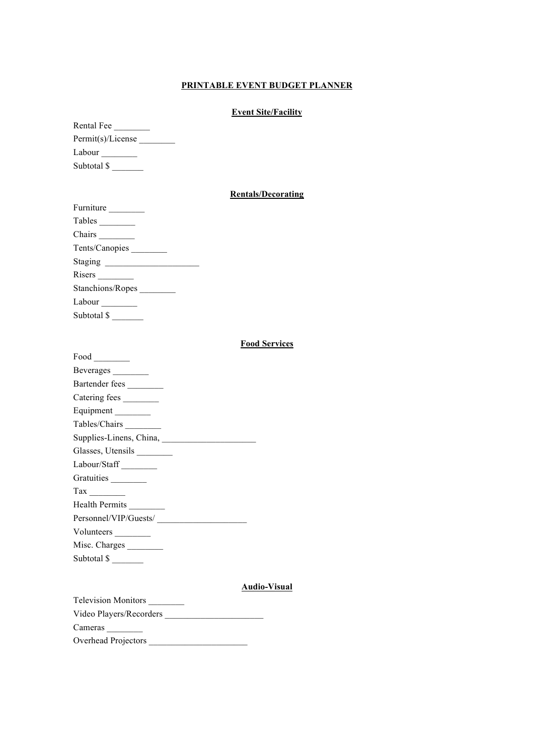# **PRINTABLE EVENT BUDGET PLANNER**

# **Event Site/Facility**

| Rental Fee        |  |
|-------------------|--|
| Permit(s)/License |  |
| Labour            |  |
| Subtotal \$       |  |

### **Rentals/Decorating**

| Furniture        |
|------------------|
| Tables           |
|                  |
| Tents/Canopies   |
| Staging          |
|                  |
| Stanchions/Ropes |
| Labour           |
| Subtotal \$      |

### **Food Services**

| $Food$ <sub>___________</sub> |
|-------------------------------|
| Beverages                     |
| Bartender fees                |
| Catering fees                 |
| Equipment ________            |
| Tables/Chairs                 |
|                               |
| Glasses, Utensils _________   |
| Labour/Staff                  |
| Gratuities                    |
|                               |
| Health Permits                |
|                               |
| Volunteers                    |
| Misc. Charges                 |
| Subtotal $\frac{\sqrt{2}}{2}$ |

# **Audio-Visual**

| <b>Television Monitors</b> |  |
|----------------------------|--|
| Video Players/Recorders    |  |
| Cameras                    |  |
| Overhead Projectors        |  |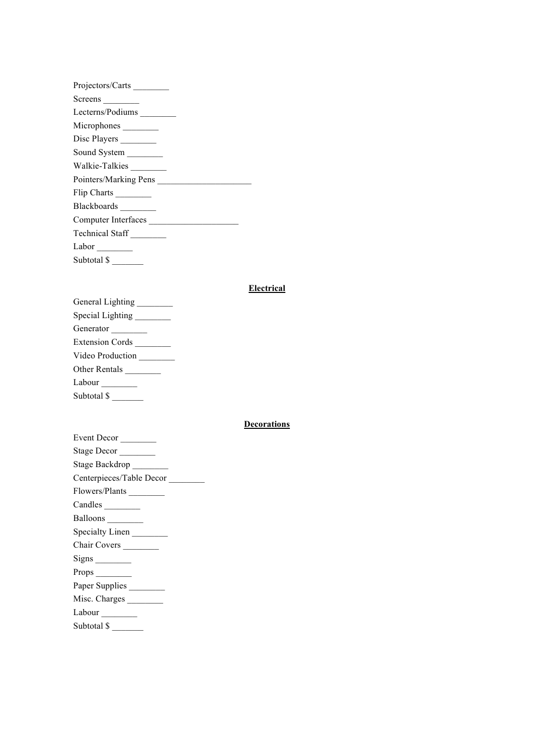| Projectors/Carts       |  |
|------------------------|--|
| Screens                |  |
| Lecterns/Podiums       |  |
| Microphones            |  |
| Disc Players _________ |  |
| Sound System ________  |  |
| Walkie-Talkies         |  |
| Pointers/Marking Pens  |  |
| Flip Charts _________  |  |
| Blackboards ________   |  |
| Computer Interfaces    |  |
| Technical Staff        |  |
| Labor $\_\_$           |  |
| Subtotal \$            |  |

# **Electrical**

| General Lighting ________ |
|---------------------------|
| Special Lighting          |
| Generator                 |
| Extension Cords           |
| Video Production          |
| Other Rentals             |
|                           |
| Subtotal \$               |

# **Decorations**

| Event Decor                    |
|--------------------------------|
| Stage Decor                    |
| Stage Backdrop                 |
| Centerpieces/Table Decor       |
| Flowers/Plants                 |
| Candles                        |
| Balloons                       |
| Specialty Linen                |
| Chair Covers                   |
| $Signs$ <sub>___________</sub> |
|                                |
| Paper Supplies                 |
| Misc. Charges                  |
| Labour __________              |
| Subtotal \$                    |
|                                |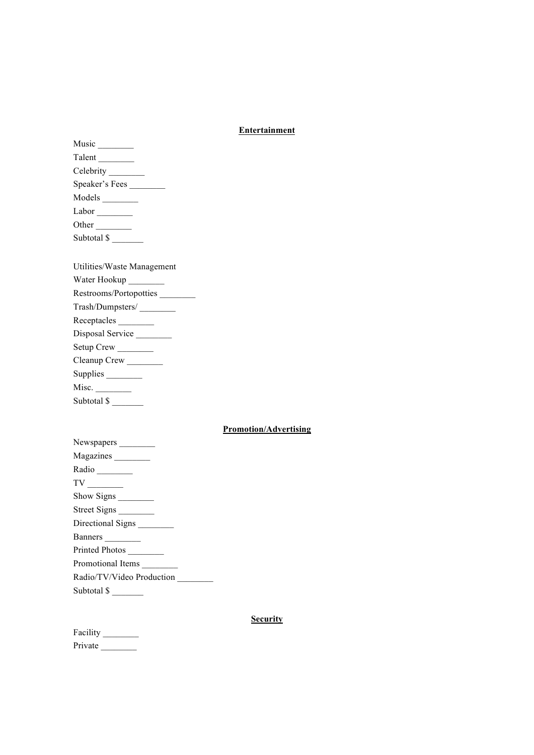#### **Entertainment**

| Talent           |
|------------------|
| Celebrity $\_\_$ |
| Speaker's Fees   |
| Models _________ |
|                  |
| Labor            |
| Other            |
| Subtotal \$      |

| Utilities/Waste Management |
|----------------------------|
| Water Hookup _________     |
| Restrooms/Portopotties     |
| Trash/Dumpsters/           |
| Receptacles                |
| Disposal Service           |
| Setup Crew                 |
| Cleanup Crew               |
| Supplies                   |
| Misc.                      |
| Subtotal \$                |
|                            |

# **Promotion/Advertising**

#### **Security**

| Facility |  |
|----------|--|
| Private  |  |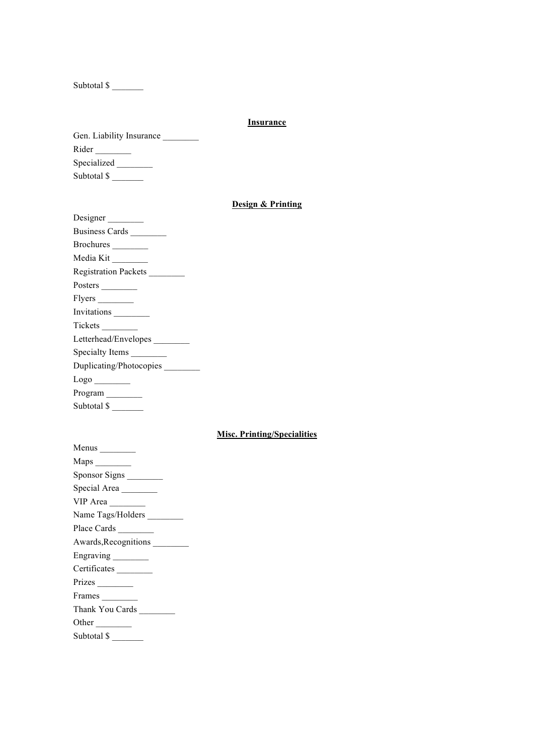Subtotal \$

#### **Insurance**

| Gen. Liability Insurance |
|--------------------------|
| Rider                    |
| Specialized              |
| Subtotal \$              |

# **Design & Printing**

| Designer                          |
|-----------------------------------|
| Business Cards                    |
| Brochures                         |
| Media Kit                         |
| Registration Packets              |
| Posters $\_\_$                    |
|                                   |
| Invitations                       |
|                                   |
| Letterhead/Envelopes              |
| Specialty Items                   |
| Duplicating/Photocopies           |
| $\frac{\text{Logo}}{\text{Logo}}$ |
| Program                           |
| Subtotal $\frac{\sqrt{2}}{2}$     |

# **Misc. Printing/Specialities**

| Maps $\frac{1}{\sqrt{1-\frac{1}{2}} \cdot \frac{1}{2}}$ |
|---------------------------------------------------------|
| Sponsor Signs                                           |
| Special Area                                            |
| VIP Area                                                |
| Name Tags/Holders                                       |
| Place Cards                                             |
| Awards, Recognitions                                    |
| Engraving                                               |
| Certificates                                            |
|                                                         |
| Frames                                                  |
| Thank You Cards                                         |
| Other                                                   |
|                                                         |

| Subtotal \$ |  |
|-------------|--|
|             |  |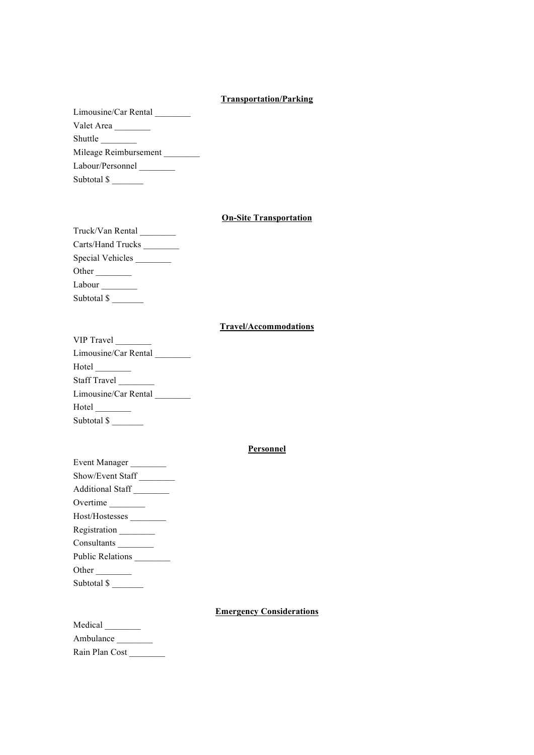#### **Transportation/Parking**

Limousine/Car Rental \_\_\_\_\_\_\_\_\_\_ Valet Area Shuttle Mileage Reimbursement

Labour/Personnel \_\_\_\_\_\_\_\_\_

Subtotal \$

### **On-Site Transportation**

| Truck/Van Rental  |
|-------------------|
| Carts/Hand Trucks |
| Special Vehicles  |
| Other $\_\_$      |
| Labour            |
| Subtotal \$       |

#### **Travel/Accommodations**

| VIP Travel                  |
|-----------------------------|
| Limousine/Car Rental        |
|                             |
| Staff Travel                |
| Limousine/Car Rental        |
| $Hotel$ <sub>________</sub> |
| Subtotal \$                 |

#### **Personnel**

| Event Manager                              |
|--------------------------------------------|
| Show/Event Staff                           |
| Additional Staff                           |
| Overtime                                   |
| Host/Hostesses ___________                 |
| Registration                               |
| Consultants                                |
| Public Relations                           |
| Other                                      |
| Subtotal $\frac{\mathcal{S}}{\mathcal{S}}$ |

#### **Emergency Considerations**

| Medical        |  |
|----------------|--|
| Ambulance      |  |
| Rain Plan Cost |  |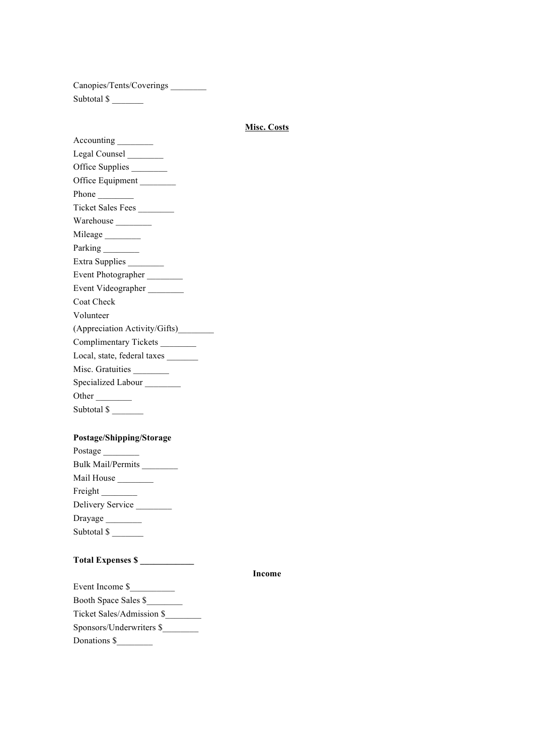Canopies/Tents/Coverings \_\_\_\_\_\_\_\_ Subtotal \$

#### **Misc. Costs**

Accounting \_\_\_\_\_\_\_\_\_\_ Legal Counsel Office Supplies Office Equipment \_\_\_\_\_\_\_\_ Phone \_\_\_\_\_\_\_\_ Ticket Sales Fees \_\_\_\_\_\_\_\_ Warehouse \_\_\_\_\_\_\_\_ Mileage \_\_\_\_\_\_\_\_\_ Parking \_\_\_\_\_\_\_\_\_ Extra Supplies \_\_\_\_\_\_\_\_\_ Event Photographer Event Videographer Coat Check Volunteer (Appreciation Activity/Gifts)\_\_\_\_\_\_\_\_ Complimentary Tickets \_\_\_\_\_\_\_\_ Local, state, federal taxes Misc. Gratuities \_\_\_\_\_\_\_\_ Specialized Labour \_\_\_\_\_\_\_\_ Other \_\_\_\_\_\_\_\_ Subtotal  $\overline{\$}$ 

#### **Postage/Shipping/Storage**

| Postage                  |
|--------------------------|
| <b>Bulk Mail/Permits</b> |
| Mail House               |
| Freight                  |
| Delivery Service         |
| Drayage                  |
| Subtotal \$              |

# **Total Expenses \$ \_\_\_\_\_\_\_\_\_\_\_\_**

**Income**

| Event Income \$           |  |
|---------------------------|--|
| Booth Space Sales \$      |  |
| Ticket Sales/Admission \$ |  |
| Sponsors/Underwriters \$  |  |
| Donations \$              |  |